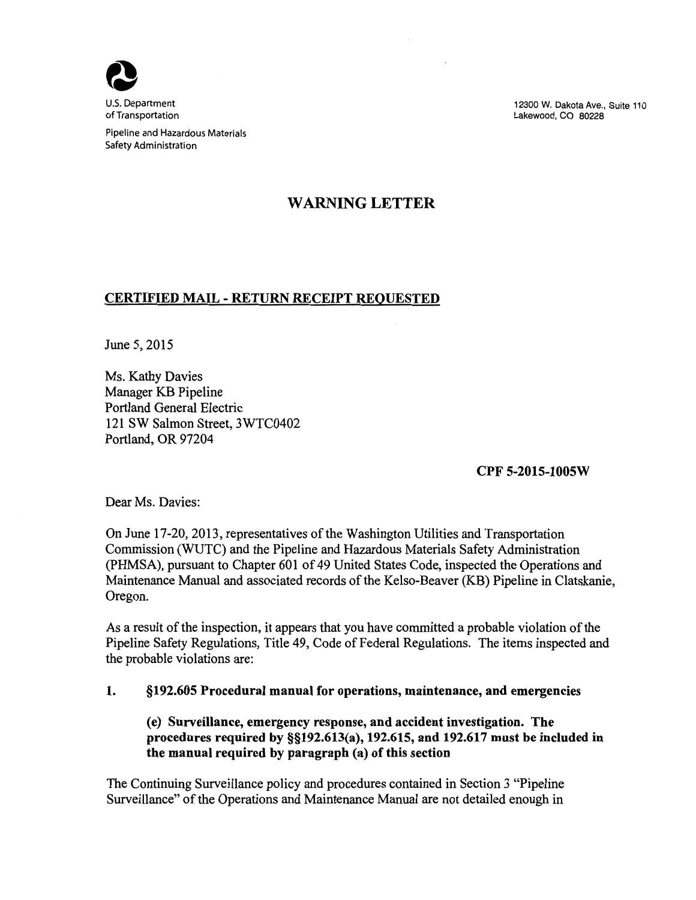

U.S. Department of Transportation

Pipeline and Hazardous Materials Safety Administration

# WARNING LETTER

 $\sim$ 

### CERTIFIED MAIL - RETURN RECEIPT REQUESTED

June 5, 2015

12300 W. Dakota Ave., Suite 110 Lakewood, CO 80228

Ms. Kathy Davies Manager KB Pipeline Portland General Electric 121 SW Salmon Street, 3WTC0402 Portland, OR 97204

Dear Ms. Davies:

CPF 5-2015-1005W

On June 17-20, 2013, representatives of the Washington Utilities and Transportation Commission (WUTC) and the Pipeline and Hazardous Materials Safety Administration (PHMSA), pursuant to Chapter 601 of 49 United States Code, inspected the Operations and Maintenance Manual and associated records of the Kelso-Beaver (KB) Pipeline in Clatskanie, Oregon.

As a result of the inspection, it appears that you have committed a probable violation of the Pipeline Safety Regulations, Title 49, Code of Federal Regulations. The items inspected and the probable violations are:

## 1. §192.605 Procedural manual for operations, maintenance, and emergencies

(e) Surveillance, emergency response, and accident investigation. The procedures required by §§192.613(a), 192.615, and 192.617 must be included in the manual required by paragraph (a) of this section

The Continuing Surveillance policy and procedures contained in Section 3 "Pipeline Surveillance" of the Operations and Maintenance Manual are not detailed enough in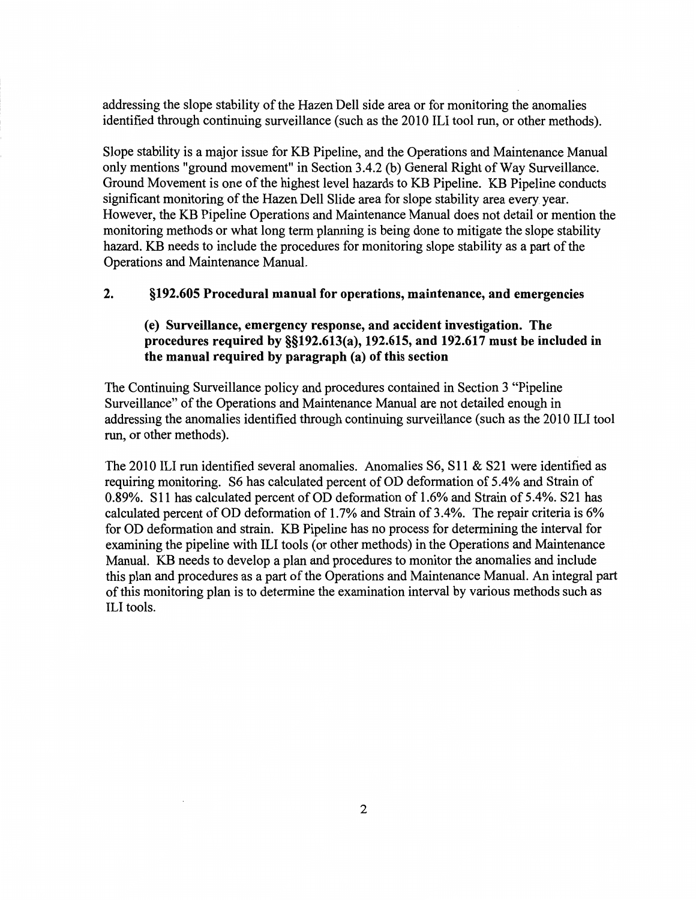addressing the slope stability of the Hazen Dell side area or for monitoring the anomalies identified through continuing surveillance (such as the 2010 ILl tool run, or other methods).

Slope stability is a major issue for KB Pipeline, and the Operations and Maintenance Manual only mentions "ground movement" in Section 3.4.2 (b) General Right of Way Surveillance. Ground Movement is one of the highest level hazards to KB Pipeline. KB Pipeline conducts significant monitoring of the Hazen Dell Slide area for slope stability area every year. However, the KB Pipeline Operations and Maintenance Manual does not detail or mention the monitoring methods or what long term planning is being done to mitigate the slope stability hazard. KB needs to include the procedures for monitoring slope stability as a part of the Operations and Maintenance Manual.

## 2. §192.605 Procedural manual for operations, maintenance, and emergencies

## (e) Surveillance, emergency response, and accident investigation. The procedures required by §§192.613(a), 192.615, and 192.617 must be included in the manual required by paragraph (a) of this section

The Continuing Surveillance policy and procedures contained in Section 3 "Pipeline Surveillance" of the Operations and Maintenance Manual are not detailed enough in addressing the anomalies identified through continuing surveillance (such as the 2010 ILl tool run, or other methods).

The 2010 ILl run identified several anomalies. Anomalies 86, 811 & 821 were identified as requiring monitoring. S6 has calculated percent of OD deformation of 5.4% and Strain of 0.89%. S 11 has calculated percent of OD deformation of 1.6% and Strain of 5.4%. 821 has calculated percent of OD deformation of  $1.7\%$  and Strain of 3.4%. The repair criteria is 6% for OD deformation and strain. KB Pipeline has no process for determining the interval for examining the pipeline with ILl tools (or other methods) in the Operations and Maintenance Manual. KB needs to develop a plan and procedures to monitor the anomalies and include this plan and procedures as a part of the Operations and Maintenance Manual. An integral part of this monitoring plan is to determine the examination interval by various methods such as ILl tools.

2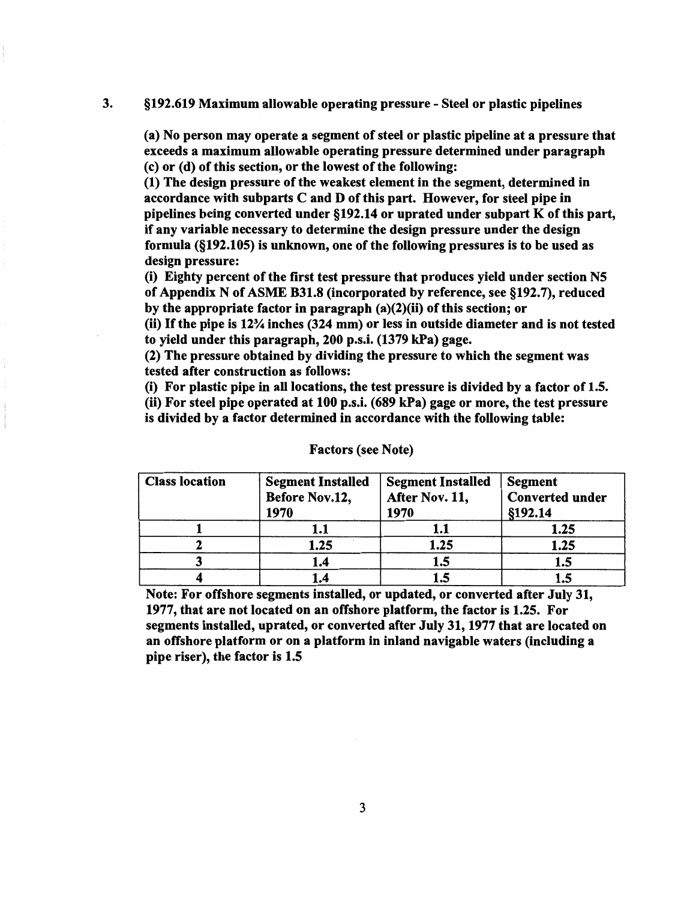#### 3. §192.619 Maximum allowable operating pressure- Steel or plastic pipelines

(a) No person may operate a segment of steel or plastic pipeline at a pressure that exceeds a maximum allowable operating pressure determined under paragraph (c) or (d) of this section, or the lowest of the following:

(1) The design pressure of the weakest element in the segment, determined in accordance with subparts C and D of this part. However, for steel pipe in pipelines being converted under  $\S192.14$  or uprated under subpart K of this part, if any variable necessary to determine the design pressure under the design formula (§192.105) is unknown, one of the following pressures is to be used as design pressure:

(i) Eighty percent of the first test pressure that produces yield under section N5 of Appendix N of ASME B31.8 (incorporated by reference, see §192.7), reduced by the appropriate factor in paragraph (a)(2)(ii) of this section; or

(ii) If the pipe is 12% inches (324 mm) or less in outside diameter and is not tested to yield under this paragraph, 200 p.s.i. (1379 kPa) gage.

(2) The pressure obtained by dividing the pressure to which the segment was tested after construction as follows:

(i) For plastic pipe in all locations, the test pressure is divided by a factor of 1.5.

(ii) For steel pipe operated at 100 p.s.i. (689 kPa) gage or more, the test pressure is divided by a factor determined in accordance with the following table:

| <b>Class location</b> | <b>Segment Installed</b><br>Before Nov.12,<br>1970 | <b>Segment Installed</b><br>After Nov. 11,<br>1970 | <b>Segment</b><br><b>Converted under</b><br>§192.14 |
|-----------------------|----------------------------------------------------|----------------------------------------------------|-----------------------------------------------------|
|                       | 1.1                                                | 1.1                                                | 1.25                                                |
|                       | 1.25                                               | 1.25                                               | 1.25                                                |
|                       | 1.4                                                | 1.5                                                | 1.5                                                 |
|                       | 1.4                                                | 1.5                                                |                                                     |

#### Factors (see Note)

Note: For offshore segments installed, or updated, or converted after July 31, 1977, that are not located on an offshore platform, the factor is 1.25. For segments installed, uprated, or converted after July 31, 1977 that are located on an offshore platform or on a platform in inland navigable waters (including a pipe riser), the factor is 1.5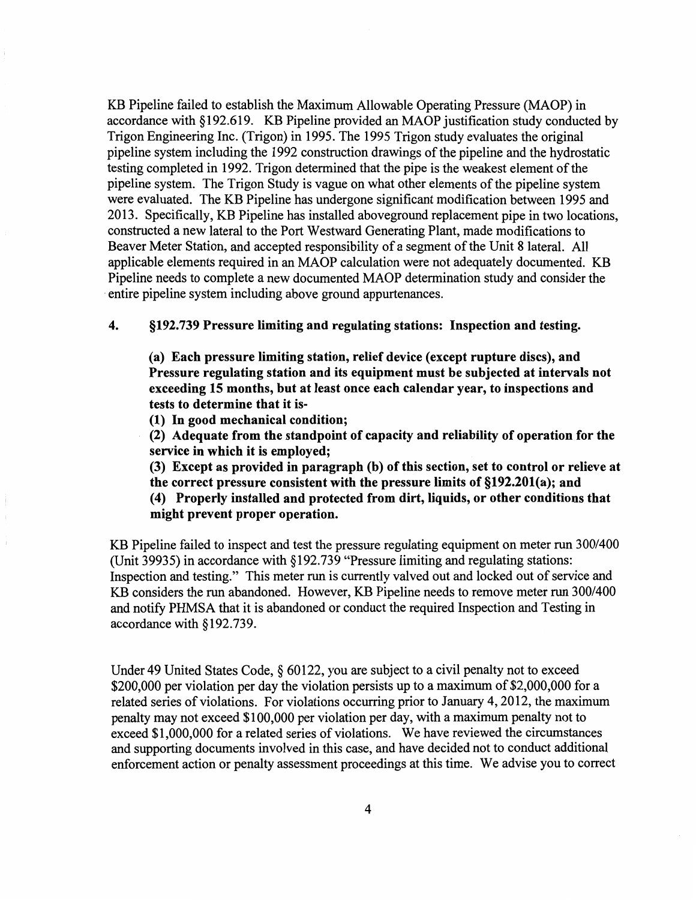KB Pipeline failed to establish the Maximum Allowable Operating Pressure (MAOP) in accordance with §192.619. KB Pipeline provided an MAOP justification study conducted by Trigon Engineering Inc. (Trigon) in 1995. The 1995 Trigon study evaluates the original pipeline system including the 1992 construction drawings of the pipeline and the hydrostatic testing completed in 1992. Trigon determined that the pipe is the weakest element of the pipeline system. The Trigon Study is vague on what other elements of the pipeline system were evaluated. The KB Pipeline has undergone significant modification between 1995 and 2013. Specifically, KB Pipeline has installed aboveground replacement pipe in two locations, constructed a new lateral to the Port Westward Generating Plant, made modifications to Beaver Meter Station, and accepted responsibility of a segment of the Unit 8 lateral. All applicable elements required in an MAOP calculation were not adequately documented. KB Pipeline needs to complete a new documented MAOP determination study and consider the entire pipeline system including above ground appurtenances.

### 4. §192.739 Pressure limiting and regulating stations: Inspection and testing.

(a) Each pressure limiting station, relief device (except rupture discs), and Pressure regulating station and its equipment must be subjected at intervals not exceeding 15 months, but at least once each calendar year, to inspections and tests to determine that it is-

(1) In good mechanical condition;

(2) Adequate from the standpoint of capacity and reliability of operation for the service in which it is employed;

(3) Except as provided in paragraph (b) of this section, set to control or relieve at the correct pressure consistent with the pressure limits of §192.201(a); and

(4) Properly installed and protected from dirt, liquids, or other conditions that

#### might prevent proper operation.

KB Pipeline failed to inspect and test the pressure regulating equipment on meter run 300/400 (Unit 39935) in accordance with § 192.739 "Pressure limiting and regulating stations: Inspection and testing." This meter run is currently valved out and locked out of service and KB considers the run abandoned. However, KB Pipeline needs to remove meter run 300/400 and notify PHMSA that it is abandoned or conduct the required Inspection and Testing in accordance with §192.739.

Under 49 United States Code, § 60122, you are subject to a civil penalty not to exceed \$200,000 per violation per day the violation persists up to a maximum of \$2,000,000 for a related series of violations. For violations occurring prior to January 4, 2012, the maximum penalty may not exceed \$100,000 per violation per day, with a maximum penalty not to exceed \$1,000,000 for a related series of violations. We have reviewed the circumstances and supporting documents involved in this case, and have decided not to conduct additional enforcement action or penalty assessment proceedings at this time. We advise you to correct

4